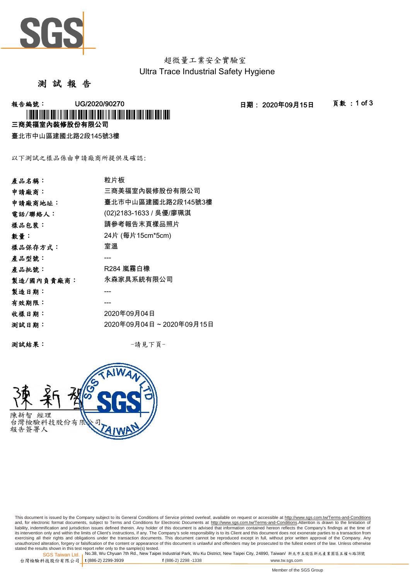

超微量工業安全實驗室 Ultra Trace Industrial Safety Hygiene

## 測 試 報 告

**報告編號: UG/2020/90270 - - - - - - - - - - - 日期: 2020年09月15日 - - 頁數:1 of 3** 三商美福室內裝修股份有限公司 \* TO BOY THEIR AND THE REAL BELLEVILLE IN THE REAL BELLEVILLE IN THE REAL BELL AND

臺北市中山區建國北路2段145號3樓

以下測試之樣品係由申請廠商所提供及確認:

| 產品名稱:      | 粒片板                     |
|------------|-------------------------|
| 申請廠商:      | 三商美福室內裝修股份有限公司          |
| 申請廠商地址:    | 臺北市中山區建國北路2段145號3樓      |
| 電話/聯絡人:    | (02)2183-1633 / 吳優/廖珮淇  |
| 樣品包裝:      | 請參考報告末頁樣品照片             |
| 數量:        | 24片 (每片15cm*5cm)        |
| 樣品保存方式:    | 室溫                      |
| 產品型號:      |                         |
| 產品批號:      |                         |
| 製造/國內負責廠商: | 永森家具系統有限公司              |
| 製造日期:      |                         |
| 有效期限:      |                         |
| 收樣日期:      | 2020年09月04日             |
| 测試日期:      | 2020年09月04日~2020年09月15日 |
|            |                         |

測試結果: -請見下頁-



This document is issued by the Company subject to its General Conditions of Service printed overleaf, available on request or accessible at <u>http://www.sgs.com.tw/Terms-and-Conditions</u><br>and, for electronic format documents, its intervention only and within the limits of Client's instructions, if any. The Company's sole responsibility is to its Client and this document does not exonerate parties to a transaction from<br>exercising all their right unauthorized alteration, forgery or falsification of the content or appearance of this document is unlawful and offenders may be prosecuted to the fullest extent of the law. Unless otherwise stated the results shown in this test report refer only to the sample(s) tested.<br>SGS Taiwan Ltd.,No.38, Wu Chyuan 7th Rd., New Taipei Industrial Park, Wu Ku District, New Taipei City, 24890, Taiwan/ 新北市五股區新北產業園區五權七路38號

SGS Taiwan Ltd. 1 台灣檢驗科技股份有限公司 t (886-2) 2299-3939 **t** (886-2) 2299-3939 **f** (886-2) 2298 -1338 www.tw.sgs.com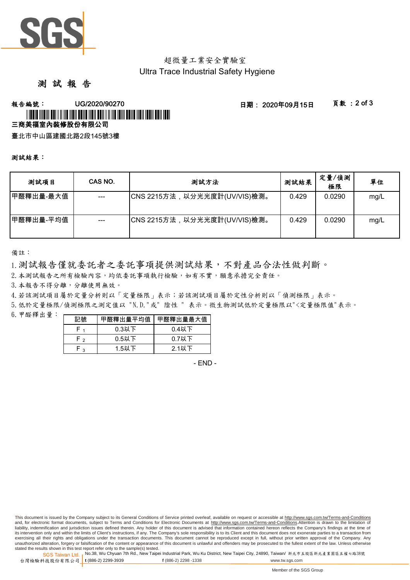

# 超微量工業安全實驗室 Ultra Trace Industrial Safety Hygiene

# 測 試 報 告

## **報告編號: UG/2020/90270 2010 - 日期: 2020年09月15日 - 頁數:2 of 3** 三商美福室內裝修股份有限公司 \* LOUIS (1981) AN FILM NO NON DONE NON DONE I N NO ION DONE NON DONE ON TO

臺北市中山區建國北路2段145號3樓

#### 測試結果:

| 测試項目      | CAS NO. | 測試方法                         | 測試結果  | 定量/偵測<br>極限 | 單位   |
|-----------|---------|------------------------------|-------|-------------|------|
| 甲醛釋出量-最大值 | $---$   | CNS 2215方法,以分光光度計(UV/VIS)檢測。 | 0.429 | 0.0290      | mg/L |
| 甲醛釋出量-平均值 |         | CNS 2215方法,以分光光度計(UV/VIS)檢測。 | 0.429 | 0.0290      | mg/L |

備註:

1.測試報告僅就委託者之委託事項提供測試結果,不對產品合法性做判斷。

2.本測試報告之所有檢驗內容,均依委託事項執行檢驗,如有不實,願意承擔完全責任。

3. 本報告不得分離,分離使用無效。

4.若該測試項目屬於定量分析則以「定量極限」表示;若該測試項目屬於定性分析則以「偵測極限」表示。

5.低於定量極限/偵測極限之測定值以 "N.D."或" 陰性 " 表示。微生物測試低於定量極限以"<定量極限值"表示。

 $6.$  甲醛釋出量: 一

| 記號              | 甲醛釋出量平均值 | 甲醛釋出量最大值 |  |
|-----------------|----------|----------|--|
|                 | $0.3$ 以下 | $0.4$ 以下 |  |
| $0.5$ 以下<br>⊸ ⊢ |          | $0.7$ 以下 |  |
| ່ າ             | $1.5$ 以下 | 2.1以下    |  |

- END -

This document is issued by the Company subject to its General Conditions of Service printed overleaf, available on request or accessible at http://www.sgs.com.tw/Terms-and-Conditions and, for electronic format documents, subject to Terms and Conditions for Electronic Documents at http://www.sgs.com.tw/Terms-and-Conditions.Attention is drawn to the limitation of liability, indemnification and jurisdiction issues defined therein. Any holder of this document is advised that information contained hereon reflects the Company's findings at the time of its intervention only and within the limits of Client's instructions, if any. The Company's sole responsibility is to its Client and this document does not exonerate parties to a transaction from exercising all their rights and obligations under the transaction documents. This document cannot be reproduced except in full, without prior written approval of the Company. Any unauthorized alteration, forgery or falsification of the content or appearance of this document is unlawful and offenders may be prosecuted to the fullest extent of the law. Unless otherwise stated the results shown in this test report refer only to the sample(s) tested.

SGS Taiwan Ltd. <sub>I</sub>No.38, Wu Chyuan 7th Rd., New Taipei Industrial Park, Wu Ku District, New Taipei City, 24890, Taiwan/ 新北市五股區新北產業園區五權七路38號 台灣檢驗科技股份有限公司 t (886-2) 2299-3939 **t** (886-2) 2299-3939 **f** (886-2) 2298 -1338 www.tw.sgs.com